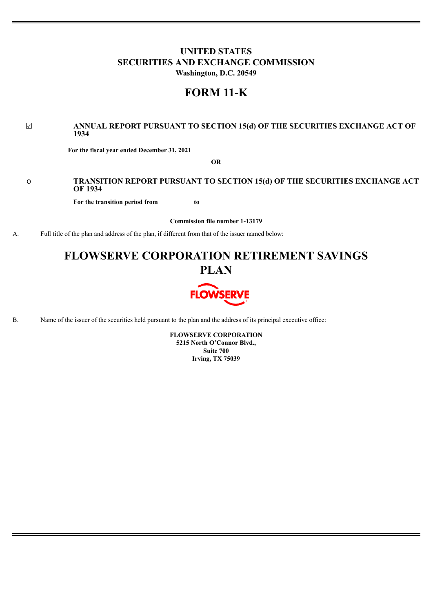## **UNITED STATES SECURITIES AND EXCHANGE COMMISSION Washington, D.C. 20549**

# **FORM 11-K**

### ☑ **ANNUAL REPORT PURSUANT TO SECTION 15(d) OF THE SECURITIES EXCHANGE ACT OF 1934**

**For the fiscal year ended December 31, 2021**

**OR**

## o **TRANSITION REPORT PURSUANT TO SECTION 15(d) OF THE SECURITIES EXCHANGE ACT OF 1934**

**For the transition period from to**

**Commission file number 1-13179**

A. Full title of the plan and address of the plan, if different from that of the issuer named below:

# **FLOWSERVE CORPORATION RETIREMENT SAVINGS PLAN**



B. Name of the issuer of the securities held pursuant to the plan and the address of its principal executive office:

**FLOWSERVE CORPORATION 5215 North O'Connor Blvd., Suite 700 Irving, TX 75039**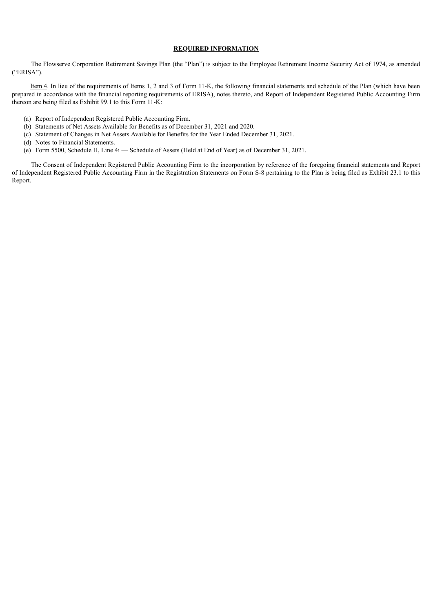#### **REQUIRED INFORMATION**

The Flowserve Corporation Retirement Savings Plan (the "Plan") is subject to the Employee Retirement Income Security Act of 1974, as amended ("ERISA").

Item 4. In lieu of the requirements of Items 1, 2 and 3 of Form 11-K, the following financial statements and schedule of the Plan (which have been prepared in accordance with the financial reporting requirements of ERISA), notes thereto, and Report of Independent Registered Public Accounting Firm thereon are being filed as Exhibit 99.1 to this Form 11-K:

- (a) Report of Independent Registered Public Accounting Firm.
- (b) Statements of Net Assets Available for Benefits as of December 31, 2021 and 2020.
- (c) Statement of Changes in Net Assets Available for Benefits for the Year Ended December 31, 2021.
- (d) Notes to Financial Statements.
- (e) Form 5500, Schedule H, Line 4i Schedule of Assets (Held at End of Year) as of December 31, 2021.

The Consent of Independent Registered Public Accounting Firm to the incorporation by reference of the foregoing financial statements and Report of Independent Registered Public Accounting Firm in the Registration Statements on Form S-8 pertaining to the Plan is being filed as Exhibit 23.1 to this Report.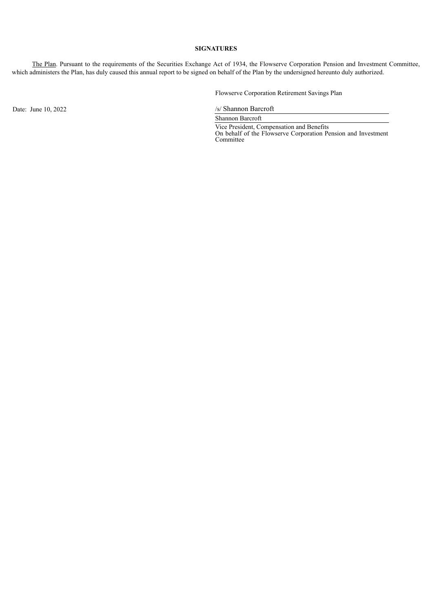#### **SIGNATURES**

The Plan. Pursuant to the requirements of the Securities Exchange Act of 1934, the Flowserve Corporation Pension and Investment Committee, which administers the Plan, has duly caused this annual report to be signed on behalf of the Plan by the undersigned hereunto duly authorized.

Flowserve Corporation Retirement Savings Plan

Date: June 10, 2022 /s/ Shannon Barcroft

Shannon Barcroft

Vice President, Compensation and Benefits On behalf of the Flowserve Corporation Pension and Investment Committee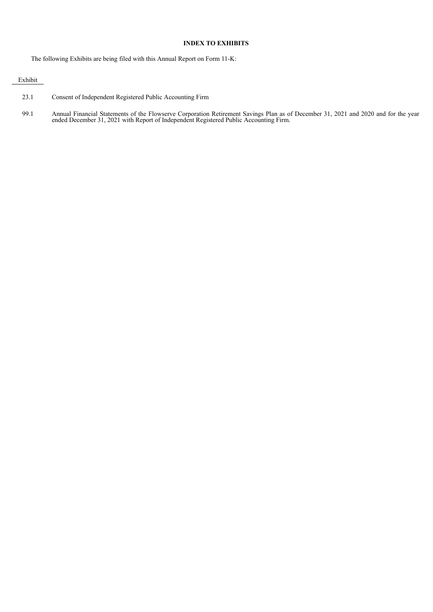#### **INDEX TO EXHIBITS**

The following Exhibits are being filed with this Annual Report on Form 11-K:

#### Exhibit

- 23.1 Consent of Independent Registered Public Accounting Firm
- 99.1 Annual Financial Statements of the Flowserve Corporation Retirement Savings Plan as of December 31, 2021 and 2020 and for the year ended December 31, 2021 with Report of Independent Registered Public Accounting Firm.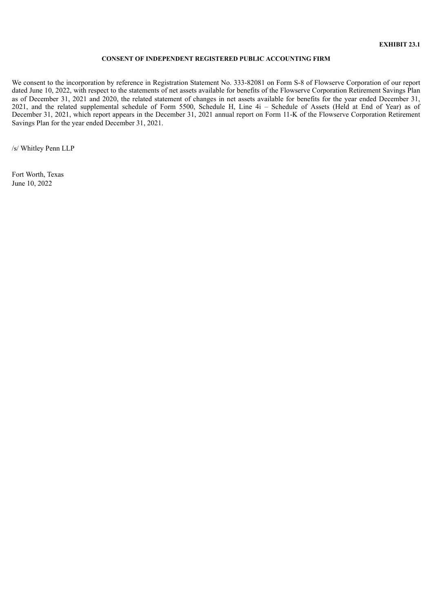#### **CONSENT OF INDEPENDENT REGISTERED PUBLIC ACCOUNTING FIRM**

We consent to the incorporation by reference in Registration Statement No. 333-82081 on Form S-8 of Flowserve Corporation of our report dated June 10, 2022, with respect to the statements of net assets available for benefits of the Flowserve Corporation Retirement Savings Plan as of December 31, 2021 and 2020, the related statement of changes in net assets available for benefits for the year ended December 31, 2021, and the related supplemental schedule of Form 5500, Schedule H, Line 4i – Schedule of Assets (Held at End of Year) as of December 31, 2021, which report appears in the December 31, 2021 annual report on Form 11-K of the Flowserve Corporation Retirement Savings Plan for the year ended December 31, 2021.

/s/ Whitley Penn LLP

Fort Worth, Texas June 10, 2022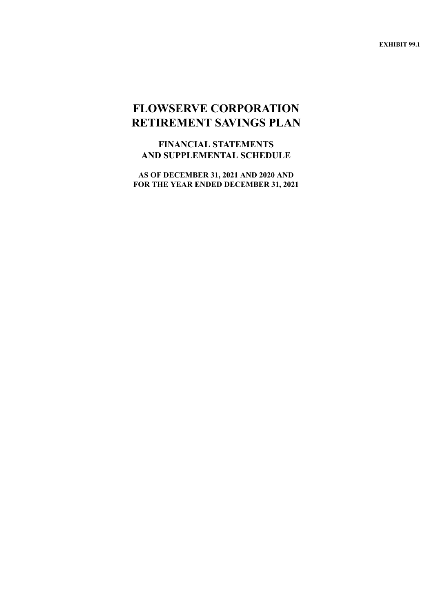**EXHIBIT 99.1**

# **FLOWSERVE CORPORATION RETIREMENT SAVINGS PLAN**

**FINANCIAL STATEMENTS AND SUPPLEMENTAL SCHEDULE**

**AS OF DECEMBER 31, 2021 AND 2020 AND FOR THE YEAR ENDED DECEMBER 31, 2021**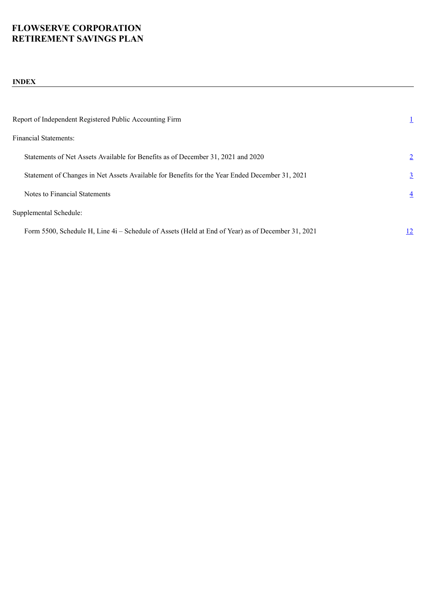## **INDEX**

<span id="page-6-0"></span>

| Report of Independent Registered Public Accounting Firm                                           |                |
|---------------------------------------------------------------------------------------------------|----------------|
| Financial Statements:                                                                             |                |
| Statements of Net Assets Available for Benefits as of December 31, 2021 and 2020                  | $\overline{2}$ |
| Statement of Changes in Net Assets Available for Benefits for the Year Ended December 31, 2021    | $\overline{3}$ |
| Notes to Financial Statements                                                                     | $\overline{4}$ |
| Supplemental Schedule:                                                                            |                |
| Form 5500, Schedule H, Line 4i – Schedule of Assets (Held at End of Year) as of December 31, 2021 | 12             |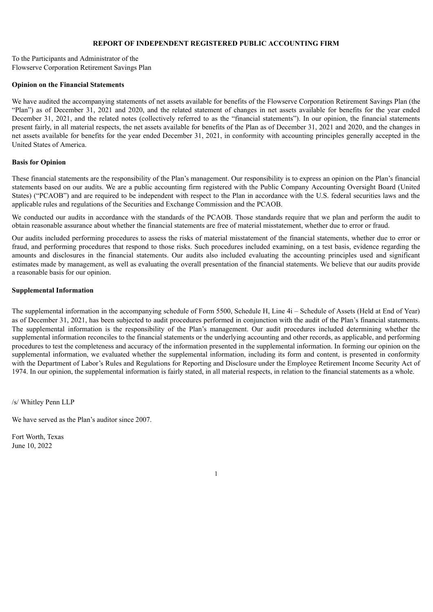### **REPORT OF INDEPENDENT REGISTERED PUBLIC ACCOUNTING FIRM**

To the Participants and Administrator of the Flowserve Corporation Retirement Savings Plan

#### **Opinion on the Financial Statements**

We have audited the accompanying statements of net assets available for benefits of the Flowserve Corporation Retirement Savings Plan (the "Plan") as of December 31, 2021 and 2020, and the related statement of changes in net assets available for benefits for the year ended December 31, 2021, and the related notes (collectively referred to as the "financial statements"). In our opinion, the financial statements present fairly, in all material respects, the net assets available for benefits of the Plan as of December 31, 2021 and 2020, and the changes in net assets available for benefits for the year ended December 31, 2021, in conformity with accounting principles generally accepted in the United States of America.

#### **Basis for Opinion**

These financial statements are the responsibility of the Plan's management. Our responsibility is to express an opinion on the Plan's financial statements based on our audits. We are a public accounting firm registered with the Public Company Accounting Oversight Board (United States) ("PCAOB") and are required to be independent with respect to the Plan in accordance with the U.S. federal securities laws and the applicable rules and regulations of the Securities and Exchange Commission and the PCAOB.

We conducted our audits in accordance with the standards of the PCAOB. Those standards require that we plan and perform the audit to obtain reasonable assurance about whether the financial statements are free of material misstatement, whether due to error or fraud.

Our audits included performing procedures to assess the risks of material misstatement of the financial statements, whether due to error or fraud, and performing procedures that respond to those risks. Such procedures included examining, on a test basis, evidence regarding the amounts and disclosures in the financial statements. Our audits also included evaluating the accounting principles used and significant estimates made by management, as well as evaluating the overall presentation of the financial statements. We believe that our audits provide a reasonable basis for our opinion.

#### **Supplemental Information**

The supplemental information in the accompanying schedule of Form 5500, Schedule H, Line 4i – Schedule of Assets (Held at End of Year) as of December 31, 2021, has been subjected to audit procedures performed in conjunction with the audit of the Plan's financial statements. The supplemental information is the responsibility of the Plan's management. Our audit procedures included determining whether the supplemental information reconciles to the financial statements or the underlying accounting and other records, as applicable, and performing procedures to test the completeness and accuracy of the information presented in the supplemental information. In forming our opinion on the supplemental information, we evaluated whether the supplemental information, including its form and content, is presented in conformity with the Department of Labor's Rules and Regulations for Reporting and Disclosure under the Employee Retirement Income Security Act of 1974. In our opinion, the supplemental information is fairly stated, in all material respects, in relation to the financial statements as a whole.

/s/ Whitley Penn LLP

We have served as the Plan's auditor since 2007.

<span id="page-7-0"></span>Fort Worth, Texas June 10, 2022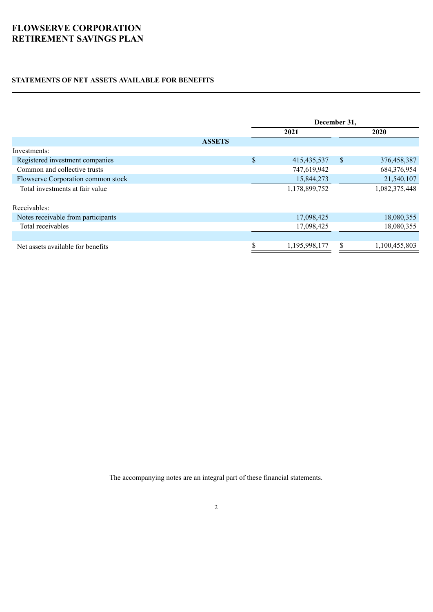## **STATEMENTS OF NET ASSETS AVAILABLE FOR BENEFITS**

|                                    |               | December 31, |               |                           |               |  |  |
|------------------------------------|---------------|--------------|---------------|---------------------------|---------------|--|--|
|                                    |               | 2021         |               |                           | 2020          |  |  |
|                                    | <b>ASSETS</b> |              |               |                           |               |  |  |
| Investments:                       |               |              |               |                           |               |  |  |
| Registered investment companies    |               | \$           | 415, 435, 537 | $\boldsymbol{\mathsf{S}}$ | 376,458,387   |  |  |
| Common and collective trusts       |               |              | 747,619,942   |                           | 684,376,954   |  |  |
| Flowserve Corporation common stock |               |              | 15,844,273    |                           | 21,540,107    |  |  |
| Total investments at fair value    |               |              | 1,178,899,752 |                           | 1,082,375,448 |  |  |
| Receivables:                       |               |              |               |                           |               |  |  |
|                                    |               |              |               |                           |               |  |  |
| Notes receivable from participants |               |              | 17,098,425    |                           | 18,080,355    |  |  |
| Total receivables                  |               |              | 17,098,425    |                           | 18,080,355    |  |  |
|                                    |               |              |               |                           |               |  |  |
| Net assets available for benefits  |               | \$           | 1,195,998,177 | \$                        | 1,100,455,803 |  |  |

<span id="page-8-0"></span>The accompanying notes are an integral part of these financial statements.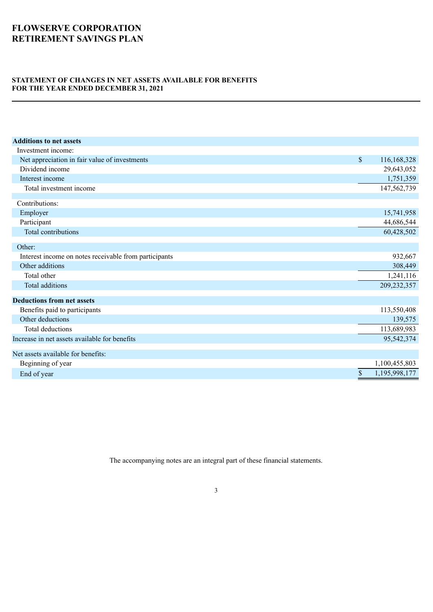### **STATEMENT OF CHANGES IN NET ASSETS AVAILABLE FOR BENEFITS FOR THE YEAR ENDED DECEMBER 31, 2021**

| <b>Additions to net assets</b>                        |                     |
|-------------------------------------------------------|---------------------|
| Investment income:                                    |                     |
| Net appreciation in fair value of investments         | \$<br>116,168,328   |
| Dividend income                                       | 29,643,052          |
| Interest income                                       | 1,751,359           |
| Total investment income                               | 147,562,739         |
| Contributions:                                        |                     |
| Employer                                              | 15,741,958          |
| Participant                                           | 44,686,544          |
| Total contributions                                   | 60,428,502          |
| Other:                                                |                     |
| Interest income on notes receivable from participants | 932,667             |
| Other additions                                       | 308,449             |
| Total other                                           | 1,241,116           |
| Total additions                                       | 209,232,357         |
| <b>Deductions from net assets</b>                     |                     |
| Benefits paid to participants                         | 113,550,408         |
| Other deductions                                      | 139,575             |
| Total deductions                                      | 113,689,983         |
| Increase in net assets available for benefits         | 95,542,374          |
| Net assets available for benefits:                    |                     |
| Beginning of year                                     | 1,100,455,803       |
| End of year                                           | \$<br>1,195,998,177 |
|                                                       |                     |

<span id="page-9-0"></span>The accompanying notes are an integral part of these financial statements.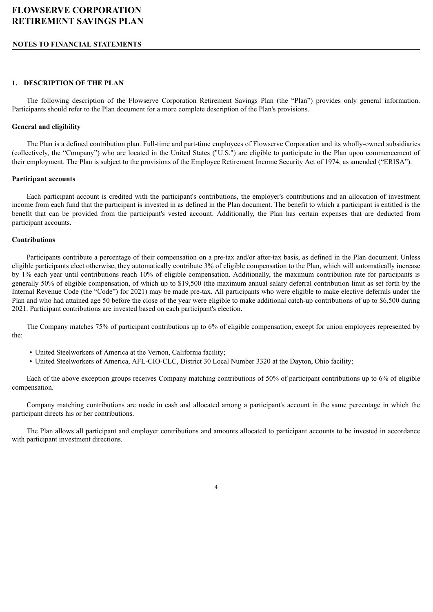#### **NOTES TO FINANCIAL STATEMENTS**

#### **1. DESCRIPTION OF THE PLAN**

The following description of the Flowserve Corporation Retirement Savings Plan (the "Plan") provides only general information. Participants should refer to the Plan document for a more complete description of the Plan's provisions.

#### **General and eligibility**

The Plan is a defined contribution plan. Full-time and part-time employees of Flowserve Corporation and its wholly-owned subsidiaries (collectively, the "Company") who are located in the United States ("U.S.") are eligible to participate in the Plan upon commencement of their employment. The Plan is subject to the provisions of the Employee Retirement Income Security Act of 1974, as amended ("ERISA").

#### **Participant accounts**

Each participant account is credited with the participant's contributions, the employer's contributions and an allocation of investment income from each fund that the participant is invested in as defined in the Plan document. The benefit to which a participant is entitled is the benefit that can be provided from the participant's vested account. Additionally, the Plan has certain expenses that are deducted from participant accounts.

#### **Contributions**

Participants contribute a percentage of their compensation on a pre-tax and/or after-tax basis, as defined in the Plan document. Unless eligible participants elect otherwise, they automatically contribute 3% of eligible compensation to the Plan, which will automatically increase by 1% each year until contributions reach 10% of eligible compensation. Additionally, the maximum contribution rate for participants is generally 50% of eligible compensation, of which up to \$19,500 (the maximum annual salary deferral contribution limit as set forth by the Internal Revenue Code (the "Code") for 2021) may be made pre-tax. All participants who were eligible to make elective deferrals under the Plan and who had attained age 50 before the close of the year were eligible to make additional catch-up contributions of up to \$6,500 during 2021. Participant contributions are invested based on each participant's election.

The Company matches 75% of participant contributions up to 6% of eligible compensation, except for union employees represented by the:

- United Steelworkers of America at the Vernon, California facility;
- United Steelworkers of America, AFL-CIO-CLC, District 30 Local Number 3320 at the Dayton, Ohio facility;

Each of the above exception groups receives Company matching contributions of 50% of participant contributions up to 6% of eligible compensation.

Company matching contributions are made in cash and allocated among a participant's account in the same percentage in which the participant directs his or her contributions.

The Plan allows all participant and employer contributions and amounts allocated to participant accounts to be invested in accordance with participant investment directions.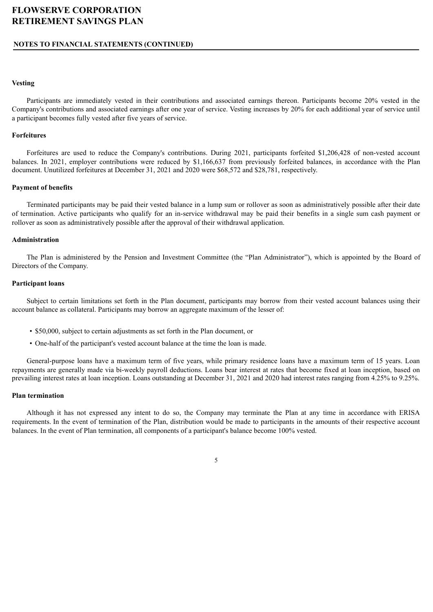#### **NOTES TO FINANCIAL STATEMENTS (CONTINUED)**

#### **Vesting**

Participants are immediately vested in their contributions and associated earnings thereon. Participants become 20% vested in the Company's contributions and associated earnings after one year of service. Vesting increases by 20% for each additional year of service until a participant becomes fully vested after five years of service.

#### **Forfeitures**

Forfeitures are used to reduce the Company's contributions. During 2021, participants forfeited \$1,206,428 of non-vested account balances. In 2021, employer contributions were reduced by \$1,166,637 from previously forfeited balances, in accordance with the Plan document. Unutilized forfeitures at December 31, 2021 and 2020 were \$68,572 and \$28,781, respectively.

#### **Payment of benefits**

Terminated participants may be paid their vested balance in a lump sum or rollover as soon as administratively possible after their date of termination. Active participants who qualify for an in-service withdrawal may be paid their benefits in a single sum cash payment or rollover as soon as administratively possible after the approval of their withdrawal application.

#### **Administration**

The Plan is administered by the Pension and Investment Committee (the "Plan Administrator"), which is appointed by the Board of Directors of the Company.

#### **Participant loans**

Subject to certain limitations set forth in the Plan document, participants may borrow from their vested account balances using their account balance as collateral. Participants may borrow an aggregate maximum of the lesser of:

- \$50,000, subject to certain adjustments as set forth in the Plan document, or
- One-half of the participant's vested account balance at the time the loan is made.

General-purpose loans have a maximum term of five years, while primary residence loans have a maximum term of 15 years. Loan repayments are generally made via bi-weekly payroll deductions. Loans bear interest at rates that become fixed at loan inception, based on prevailing interest rates at loan inception. Loans outstanding at December 31, 2021 and 2020 had interest rates ranging from 4.25% to 9.25%.

#### **Plan termination**

Although it has not expressed any intent to do so, the Company may terminate the Plan at any time in accordance with ERISA requirements. In the event of termination of the Plan, distribution would be made to participants in the amounts of their respective account balances. In the event of Plan termination, all components of a participant's balance become 100% vested.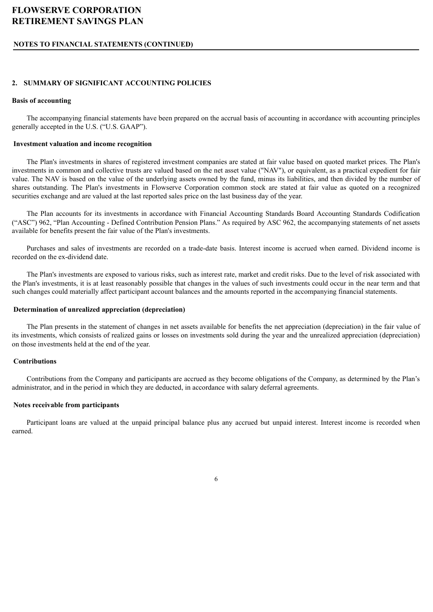## **NOTES TO FINANCIAL STATEMENTS (CONTINUED)**

## **2. SUMMARY OF SIGNIFICANT ACCOUNTING POLICIES**

### **Basis of accounting**

The accompanying financial statements have been prepared on the accrual basis of accounting in accordance with accounting principles generally accepted in the U.S. ("U.S. GAAP").

### **Investment valuation and income recognition**

The Plan's investments in shares of registered investment companies are stated at fair value based on quoted market prices. The Plan's investments in common and collective trusts are valued based on the net asset value ("NAV"), or equivalent, as a practical expedient for fair value. The NAV is based on the value of the underlying assets owned by the fund, minus its liabilities, and then divided by the number of shares outstanding. The Plan's investments in Flowserve Corporation common stock are stated at fair value as quoted on a recognized securities exchange and are valued at the last reported sales price on the last business day of the year.

The Plan accounts for its investments in accordance with Financial Accounting Standards Board Accounting Standards Codification ("ASC") 962, "Plan Accounting - Defined Contribution Pension Plans." As required by ASC 962, the accompanying statements of net assets available for benefits present the fair value of the Plan's investments.

Purchases and sales of investments are recorded on a trade-date basis. Interest income is accrued when earned. Dividend income is recorded on the ex-dividend date.

The Plan's investments are exposed to various risks, such as interest rate, market and credit risks. Due to the level of risk associated with the Plan's investments, it is at least reasonably possible that changes in the values of such investments could occur in the near term and that such changes could materially affect participant account balances and the amounts reported in the accompanying financial statements.

### **Determination of unrealized appreciation (depreciation)**

The Plan presents in the statement of changes in net assets available for benefits the net appreciation (depreciation) in the fair value of its investments, which consists of realized gains or losses on investments sold during the year and the unrealized appreciation (depreciation) on those investments held at the end of the year.

## **Contributions**

Contributions from the Company and participants are accrued as they become obligations of the Company, as determined by the Plan's administrator, and in the period in which they are deducted, in accordance with salary deferral agreements.

### **Notes receivable from participants**

Participant loans are valued at the unpaid principal balance plus any accrued but unpaid interest. Interest income is recorded when earned.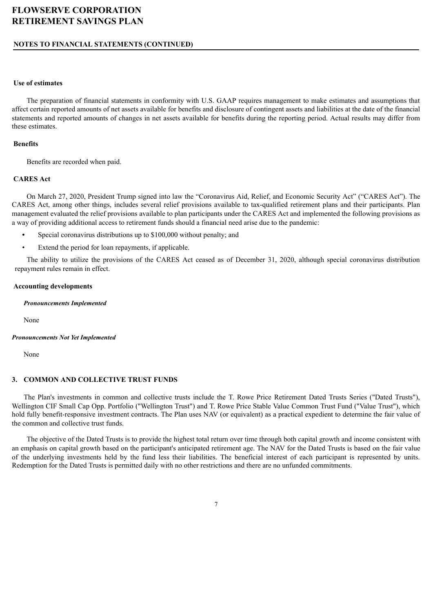#### **NOTES TO FINANCIAL STATEMENTS (CONTINUED)**

#### **Use of estimates**

The preparation of financial statements in conformity with U.S. GAAP requires management to make estimates and assumptions that affect certain reported amounts of net assets available for benefits and disclosure of contingent assets and liabilities at the date of the financial statements and reported amounts of changes in net assets available for benefits during the reporting period. Actual results may differ from these estimates.

#### **Benefits**

Benefits are recorded when paid.

#### **CARES Act**

On March 27, 2020, President Trump signed into law the "Coronavirus Aid, Relief, and Economic Security Act" ("CARES Act"). The CARES Act, among other things, includes several relief provisions available to tax-qualified retirement plans and their participants. Plan management evaluated the relief provisions available to plan participants under the CARES Act and implemented the following provisions as a way of providing additional access to retirement funds should a financial need arise due to the pandemic:

- **•** Special coronavirus distributions up to \$100,000 without penalty; and
- Extend the period for loan repayments, if applicable.

The ability to utilize the provisions of the CARES Act ceased as of December 31, 2020, although special coronavirus distribution repayment rules remain in effect.

#### **Accounting developments**

*Pronouncements Implemented*

None

#### *Pronouncements Not Yet Implemented*

None

#### **3. COMMON AND COLLECTIVE TRUST FUNDS**

The Plan's investments in common and collective trusts include the T. Rowe Price Retirement Dated Trusts Series ("Dated Trusts"), Wellington CIF Small Cap Opp. Portfolio ("Wellington Trust") and T. Rowe Price Stable Value Common Trust Fund ("Value Trust"), which hold fully benefit-responsive investment contracts. The Plan uses NAV (or equivalent) as a practical expedient to determine the fair value of the common and collective trust funds.

The objective of the Dated Trusts is to provide the highest total return over time through both capital growth and income consistent with an emphasis on capital growth based on the participant's anticipated retirement age. The NAV for the Dated Trusts is based on the fair value of the underlying investments held by the fund less their liabilities. The beneficial interest of each participant is represented by units. Redemption for the Dated Trusts is permitted daily with no other restrictions and there are no unfunded commitments.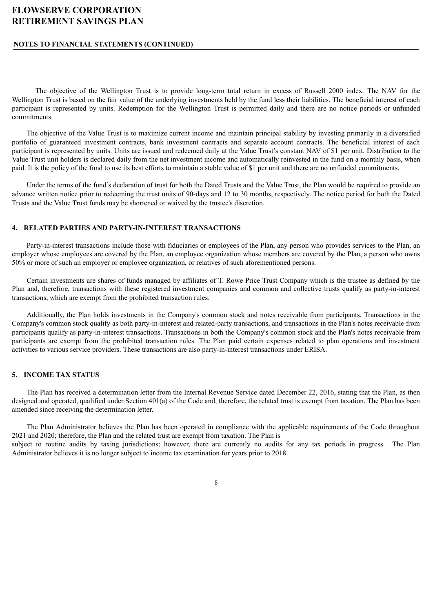#### **NOTES TO FINANCIAL STATEMENTS (CONTINUED)**

The objective of the Wellington Trust is to provide long-term total return in excess of Russell 2000 index. The NAV for the Wellington Trust is based on the fair value of the underlying investments held by the fund less their liabilities. The beneficial interest of each participant is represented by units. Redemption for the Wellington Trust is permitted daily and there are no notice periods or unfunded commitments.

The objective of the Value Trust is to maximize current income and maintain principal stability by investing primarily in a diversified portfolio of guaranteed investment contracts, bank investment contracts and separate account contracts. The beneficial interest of each participant is represented by units. Units are issued and redeemed daily at the Value Trust's constant NAV of \$1 per unit. Distribution to the Value Trust unit holders is declared daily from the net investment income and automatically reinvested in the fund on a monthly basis, when paid. It is the policy of the fund to use its best efforts to maintain a stable value of \$1 per unit and there are no unfunded commitments.

Under the terms of the fund's declaration of trust for both the Dated Trusts and the Value Trust, the Plan would be required to provide an advance written notice prior to redeeming the trust units of 90-days and 12 to 30 months, respectively. The notice period for both the Dated Trusts and the Value Trust funds may be shortened or waived by the trustee's discretion.

#### **4. RELATED PARTIES AND PARTY-IN-INTEREST TRANSACTIONS**

Party-in-interest transactions include those with fiduciaries or employees of the Plan, any person who provides services to the Plan, an employer whose employees are covered by the Plan, an employee organization whose members are covered by the Plan, a person who owns 50% or more of such an employer or employee organization, or relatives of such aforementioned persons.

Certain investments are shares of funds managed by affiliates of T. Rowe Price Trust Company which is the trustee as defined by the Plan and, therefore, transactions with these registered investment companies and common and collective trusts qualify as party-in-interest transactions, which are exempt from the prohibited transaction rules.

Additionally, the Plan holds investments in the Company's common stock and notes receivable from participants. Transactions in the Company's common stock qualify as both party-in-interest and related-party transactions, and transactions in the Plan's notes receivable from participants qualify as party-in-interest transactions. Transactions in both the Company's common stock and the Plan's notes receivable from participants are exempt from the prohibited transaction rules. The Plan paid certain expenses related to plan operations and investment activities to various service providers. These transactions are also party-in-interest transactions under ERISA.

#### **5. INCOME TAX STATUS**

The Plan has received a determination letter from the Internal Revenue Service dated December 22, 2016, stating that the Plan, as then designed and operated, qualified under Section 401(a) of the Code and, therefore, the related trust is exempt from taxation. The Plan has been amended since receiving the determination letter.

The Plan Administrator believes the Plan has been operated in compliance with the applicable requirements of the Code throughout 2021 and 2020; therefore, the Plan and the related trust are exempt from taxation. The Plan is subject to routine audits by taxing jurisdictions; however, there are currently no audits for any tax periods in progress. The Plan Administrator believes it is no longer subject to income tax examination for years prior to 2018.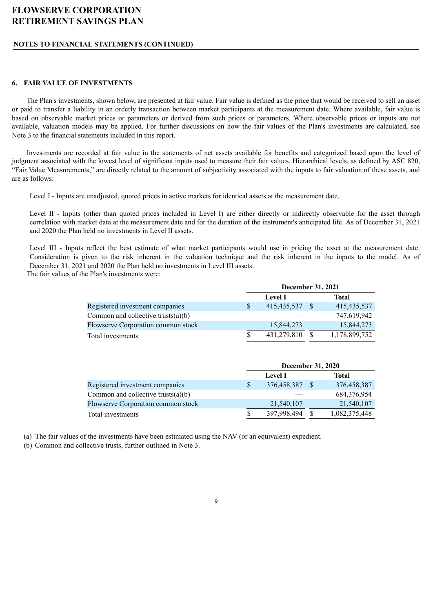#### **NOTES TO FINANCIAL STATEMENTS (CONTINUED)**

#### **6. FAIR VALUE OF INVESTMENTS**

The Plan's investments, shown below, are presented at fair value. Fair value is defined as the price that would be received to sell an asset or paid to transfer a liability in an orderly transaction between market participants at the measurement date. Where available, fair value is based on observable market prices or parameters or derived from such prices or parameters. Where observable prices or inputs are not available, valuation models may be applied. For further discussions on how the fair values of the Plan's investments are calculated, see Note 3 to the financial statements included in this report.

Investments are recorded at fair value in the statements of net assets available for benefits and categorized based upon the level of judgment associated with the lowest level of significant inputs used to measure their fair values. Hierarchical levels, as defined by ASC 820, "Fair Value Measurements," are directly related to the amount of subjectivity associated with the inputs to fair valuation of these assets, and are as follows:

Level I - Inputs are unadjusted, quoted prices in active markets for identical assets at the measurement date.

Level II - Inputs (other than quoted prices included in Level I) are either directly or indirectly observable for the asset through correlation with market data at the measurement date and for the duration of the instrument's anticipated life. As of December 31, 2021 and 2020 the Plan held no investments in Level II assets.

Level III - Inputs reflect the best estimate of what market participants would use in pricing the asset at the measurement date. Consideration is given to the risk inherent in the valuation technique and the risk inherent in the inputs to the model. As of December 31, 2021 and 2020 the Plan held no investments in Level III assets. The fair values of the Plan's investments were:

|                                       |              | December 31, 2021 |       |               |  |
|---------------------------------------|--------------|-------------------|-------|---------------|--|
|                                       |              | <b>Level I</b>    | Total |               |  |
| Registered investment companies       | <sup>S</sup> | 415, 435, 537     |       | 415, 435, 537 |  |
| Common and collective trusts $(a)(b)$ |              |                   |       | 747,619,942   |  |
| Flowserve Corporation common stock    |              | 15,844,273        |       | 15,844,273    |  |
| Total investments                     | S            | 431,279,810       |       | 1,178,899,752 |  |

|                                       |    | <b>December 31, 2020</b> |  |               |  |  |
|---------------------------------------|----|--------------------------|--|---------------|--|--|
|                                       |    | <b>Level I</b>           |  | Total         |  |  |
| Registered investment companies       | \$ | 376,458,387              |  | 376,458,387   |  |  |
| Common and collective trusts $(a)(b)$ |    |                          |  | 684,376,954   |  |  |
| Flowserve Corporation common stock    |    | 21,540,107               |  | 21,540,107    |  |  |
| Total investments                     | S  | 397,998,494              |  | 1,082,375,448 |  |  |

(a) The fair values of the investments have been estimated using the NAV (or an equivalent) expedient.

(b) Common and collective trusts, further outlined in Note 3.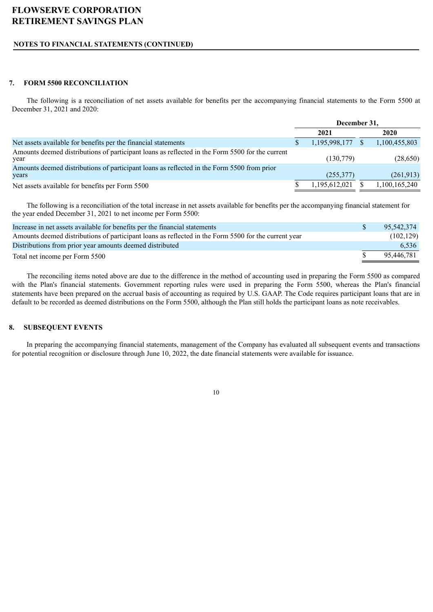### **NOTES TO FINANCIAL STATEMENTS (CONTINUED)**

#### **7. FORM 5500 RECONCILIATION**

The following is a reconciliation of net assets available for benefits per the accompanying financial statements to the Form 5500 at December 31, 2021 and 2020:

|                                                                                                         | December 31,       |  |               |
|---------------------------------------------------------------------------------------------------------|--------------------|--|---------------|
|                                                                                                         | 2021               |  | 2020          |
| Net assets available for benefits per the financial statements                                          | $1,195,998,177$ \$ |  | 1,100,455,803 |
| Amounts deemed distributions of participant loans as reflected in the Form 5500 for the current<br>year | (130,779)          |  | (28,650)      |
| Amounts deemed distributions of participant loans as reflected in the Form 5500 from prior<br>years     | (255, 377)         |  | (261,913)     |
| Net assets available for benefits per Form 5500                                                         | 1,195,612,021      |  | 1,100,165,240 |

The following is a reconciliation of the total increase in net assets available for benefits per the accompanying financial statement for the year ended December 31, 2021 to net income per Form 5500:

| Increase in net assets available for benefits per the financial statements                           | 95.542.374 |
|------------------------------------------------------------------------------------------------------|------------|
| Amounts deemed distributions of participant loans as reflected in the Form 5500 for the current year | (102, 129) |
| Distributions from prior year amounts deemed distributed                                             | 6,536      |
| Total net income per Form 5500                                                                       | 95.446.781 |

The reconciling items noted above are due to the difference in the method of accounting used in preparing the Form 5500 as compared with the Plan's financial statements. Government reporting rules were used in preparing the Form 5500, whereas the Plan's financial statements have been prepared on the accrual basis of accounting as required by U.S. GAAP. The Code requires participant loans that are in default to be recorded as deemed distributions on the Form 5500, although the Plan still holds the participant loans as note receivables.

#### **8. SUBSEQUENT EVENTS**

In preparing the accompanying financial statements, management of the Company has evaluated all subsequent events and transactions for potential recognition or disclosure through June 10, 2022, the date financial statements were available for issuance.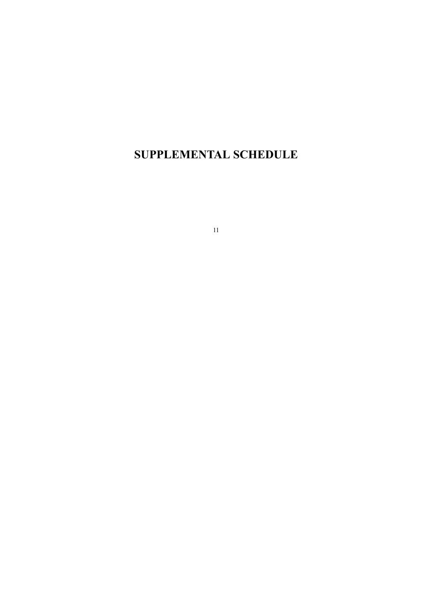<span id="page-17-0"></span>**SUPPLEMENTAL SCHEDULE**